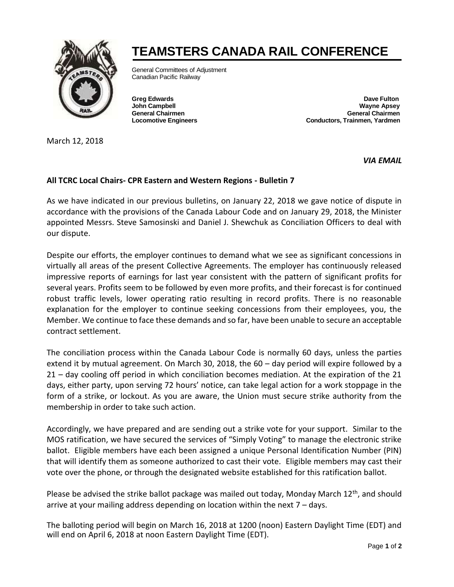

March 12, 2018

## **TEAMSTERS CANADA RAIL CONFERENCE**

General Committees of Adjustment Canadian Pacific Railway

**Greg Edwards Dave Fulton Wayne Apsey General Chairmen General Chairmen Locomotive Engineers Conductors, Trainmen, Yardmen** 

*VIA EMAIL* 

## **All TCRC Local Chairs- CPR Eastern and Western Regions - Bulletin 7**

As we have indicated in our previous bulletins, on January 22, 2018 we gave notice of dispute in accordance with the provisions of the Canada Labour Code and on January 29, 2018, the Minister appointed Messrs. Steve Samosinski and Daniel J. Shewchuk as Conciliation Officers to deal with our dispute.

Despite our efforts, the employer continues to demand what we see as significant concessions in virtually all areas of the present Collective Agreements. The employer has continuously released impressive reports of earnings for last year consistent with the pattern of significant profits for several years. Profits seem to be followed by even more profits, and their forecast is for continued robust traffic levels, lower operating ratio resulting in record profits. There is no reasonable explanation for the employer to continue seeking concessions from their employees, you, the Member. We continue to face these demands and so far, have been unable to secure an acceptable contract settlement.

The conciliation process within the Canada Labour Code is normally 60 days, unless the parties extend it by mutual agreement. On March 30, 2018, the 60 – day period will expire followed by a 21 – day cooling off period in which conciliation becomes mediation. At the expiration of the 21 days, either party, upon serving 72 hours' notice, can take legal action for a work stoppage in the form of a strike, or lockout. As you are aware, the Union must secure strike authority from the membership in order to take such action.

Accordingly, we have prepared and are sending out a strike vote for your support. Similar to the MOS ratification, we have secured the services of "Simply Voting" to manage the electronic strike ballot. Eligible members have each been assigned a unique Personal Identification Number (PIN) that will identify them as someone authorized to cast their vote. Eligible members may cast their vote over the phone, or through the designated website established for this ratification ballot.

Please be advised the strike ballot package was mailed out today, Monday March 12<sup>th</sup>, and should arrive at your mailing address depending on location within the next  $7 -$  days.

The balloting period will begin on March 16, 2018 at 1200 (noon) Eastern Daylight Time (EDT) and will end on April 6, 2018 at noon Eastern Daylight Time (EDT).